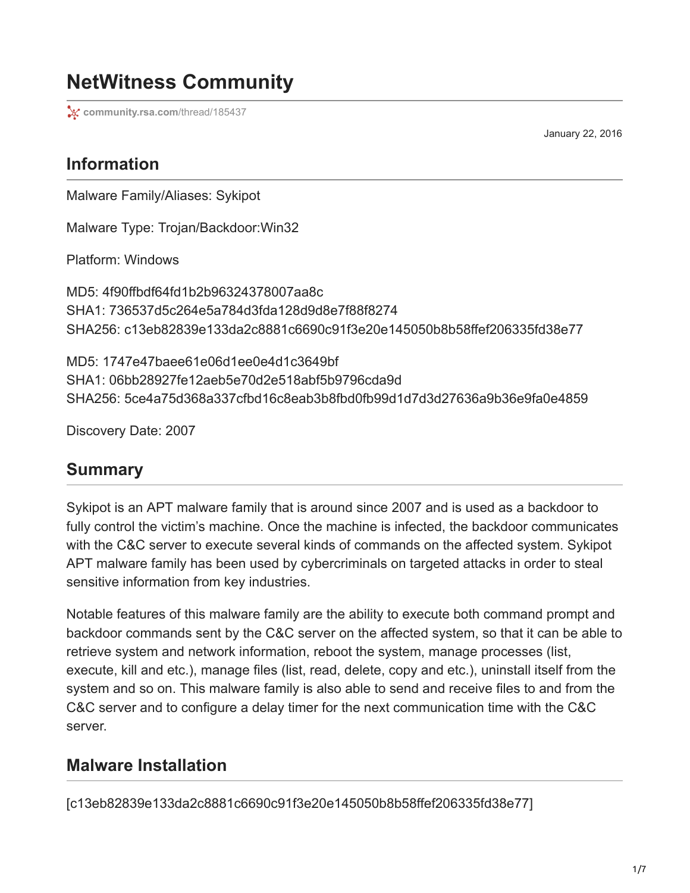# **NetWitness Community**

**[community.rsa.com](https://community.rsa.com/thread/185437)/thread/185437** 

January 22, 2016

### **Information**

Malware Family/Aliases: Sykipot

Malware Type: Trojan/Backdoor:Win32

Platform: Windows

MD5: 4f90ffbdf64fd1b2b96324378007aa8c SHA1: 736537d5c264e5a784d3fda128d9d8e7f88f8274 SHA256: c13eb82839e133da2c8881c6690c91f3e20e145050b8b58ffef206335fd38e77

MD5: 1747e47baee61e06d1ee0e4d1c3649bf SHA1: 06bb28927fe12aeb5e70d2e518abf5b9796cda9d SHA256: 5ce4a75d368a337cfbd16c8eab3b8fbd0fb99d1d7d3d27636a9b36e9fa0e4859

Discovery Date: 2007

#### **Summary**

Sykipot is an APT malware family that is around since 2007 and is used as a backdoor to fully control the victim's machine. Once the machine is infected, the backdoor communicates with the C&C server to execute several kinds of commands on the affected system. Sykipot APT malware family has been used by cybercriminals on targeted attacks in order to steal sensitive information from key industries.

Notable features of this malware family are the ability to execute both command prompt and backdoor commands sent by the C&C server on the affected system, so that it can be able to retrieve system and network information, reboot the system, manage processes (list, execute, kill and etc.), manage files (list, read, delete, copy and etc.), uninstall itself from the system and so on. This malware family is also able to send and receive files to and from the C&C server and to configure a delay timer for the next communication time with the C&C server.

#### **Malware Installation**

[c13eb82839e133da2c8881c6690c91f3e20e145050b8b58ffef206335fd38e77]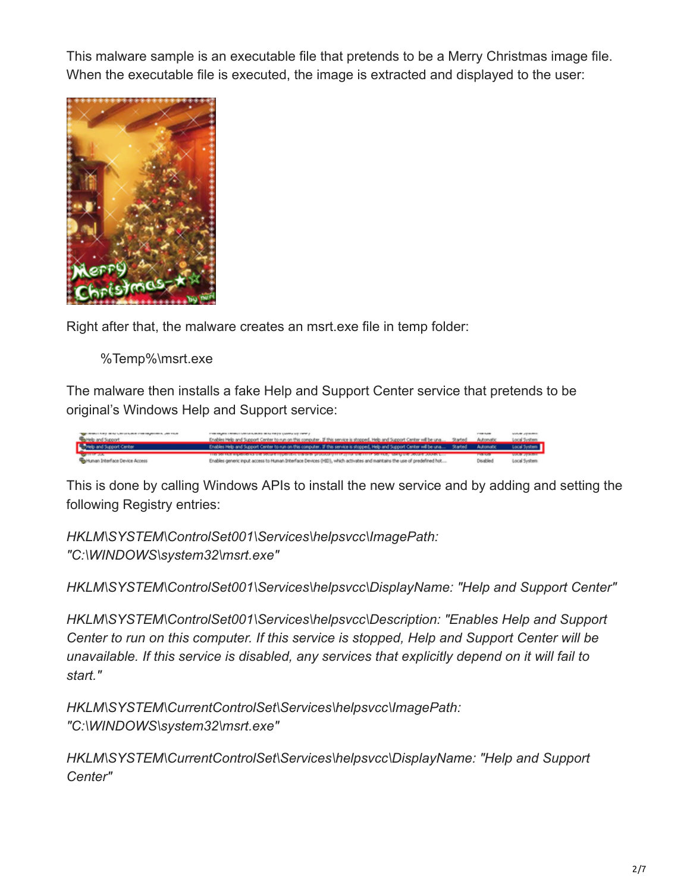This malware sample is an executable file that pretends to be a Merry Christmas image file. When the executable file is executed, the image is extracted and displayed to the user:



Right after that, the malware creates an msrt.exe file in temp folder:

%Temp%\msrt.exe

The malware then installs a fake Help and Support Center service that pretends to be original's Windows Help and Support service:



This is done by calling Windows APIs to install the new service and by adding and setting the following Registry entries:

*HKLM\SYSTEM\ControlSet001\Services\helpsvcc\ImagePath: "C:\WINDOWS\system32\msrt.exe"*

*HKLM\SYSTEM\ControlSet001\Services\helpsvcc\DisplayName: "Help and Support Center"*

*HKLM\SYSTEM\ControlSet001\Services\helpsvcc\Description: "Enables Help and Support Center to run on this computer. If this service is stopped, Help and Support Center will be unavailable. If this service is disabled, any services that explicitly depend on it will fail to start."*

*HKLM\SYSTEM\CurrentControlSet\Services\helpsvcc\ImagePath: "C:\WINDOWS\system32\msrt.exe"*

*HKLM\SYSTEM\CurrentControlSet\Services\helpsvcc\DisplayName: "Help and Support Center"*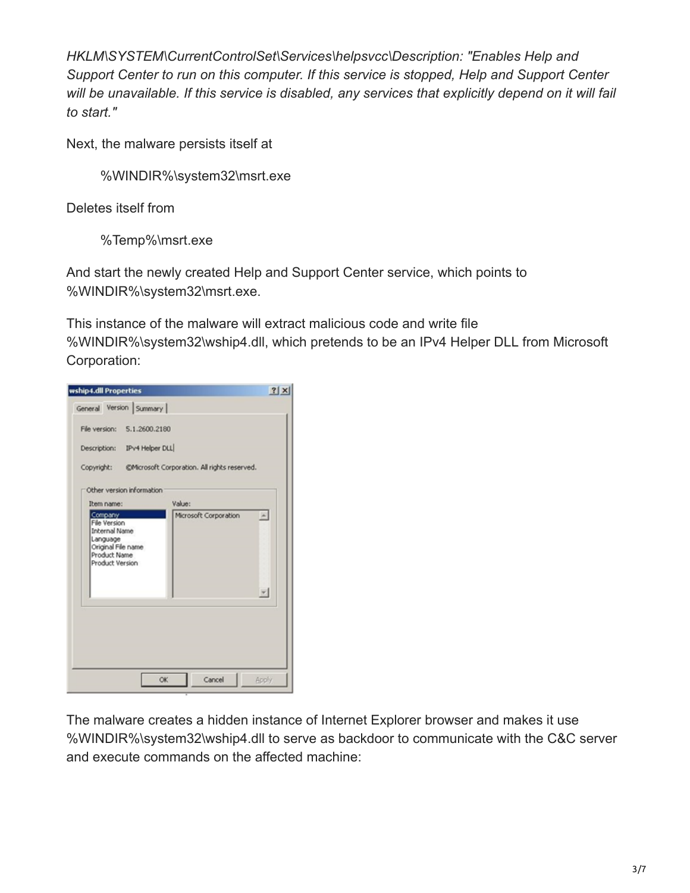*HKLM\SYSTEM\CurrentControlSet\Services\helpsvcc\Description: "Enables Help and Support Center to run on this computer. If this service is stopped, Help and Support Center will be unavailable. If this service is disabled, any services that explicitly depend on it will fail to start."*

Next, the malware persists itself at

%WINDIR%\system32\msrt.exe

Deletes itself from

%Temp%\msrt.exe

And start the newly created Help and Support Center service, which points to %WINDIR%\system32\msrt.exe.

This instance of the malware will extract malicious code and write file %WINDIR%\system32\wship4.dll, which pretends to be an IPv4 Helper DLL from Microsoft Corporation:

| wship4.dll Properties                                                                                                       |                                                         | ? x                         |
|-----------------------------------------------------------------------------------------------------------------------------|---------------------------------------------------------|-----------------------------|
| General Version Summary                                                                                                     |                                                         |                             |
| File version: 5.1.2600.2180                                                                                                 |                                                         |                             |
| Description: IPv4 Helper DLL                                                                                                |                                                         |                             |
|                                                                                                                             | Copyright: @Microsoft Corporation. All rights reserved. |                             |
| Other version information                                                                                                   |                                                         |                             |
| Item name:                                                                                                                  | Value:                                                  |                             |
| Company<br><b>File Version</b><br><b>Internal Name</b><br>Language<br>Original File name<br>Product Name<br>Product Version | Microsoft Corporation                                   | $\left  \mathbf{A} \right $ |
|                                                                                                                             |                                                         | $\overline{\phantom{a}}$    |
|                                                                                                                             |                                                         |                             |
|                                                                                                                             |                                                         |                             |

The malware creates a hidden instance of Internet Explorer browser and makes it use %WINDIR%\system32\wship4.dll to serve as backdoor to communicate with the C&C server and execute commands on the affected machine: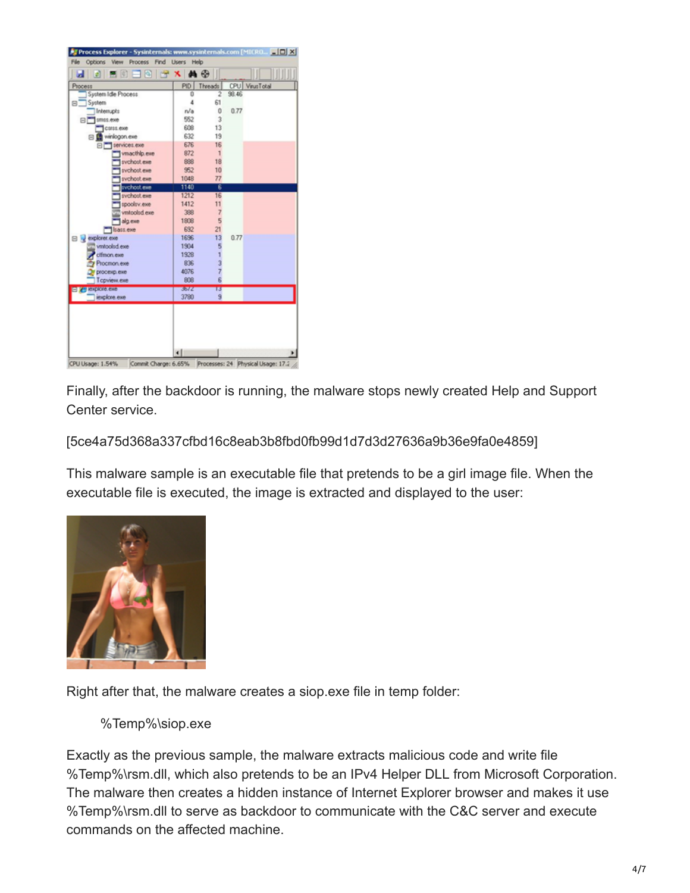| Process<br>System Idle Process<br>System<br>Interrupts<br>El smos.exe | PID <sup>1</sup><br>0<br>4<br>n/a | Threads<br>2<br>61   | 98.46 | CPU VirusTotal |
|-----------------------------------------------------------------------|-----------------------------------|----------------------|-------|----------------|
| Θ.                                                                    |                                   |                      |       |                |
|                                                                       |                                   |                      |       |                |
|                                                                       |                                   |                      |       |                |
|                                                                       |                                   | Ů                    | 0.77  |                |
|                                                                       | 552                               | 3                    |       |                |
| Ciris.exe                                                             | 608                               | 13                   |       |                |
| El winlogon.exe                                                       | 632                               | 19                   |       |                |
| S services.exe                                                        | 676                               | 16                   |       |                |
| vmacthip.exe                                                          | 872                               | 1                    |       |                |
| svchost.exe                                                           | 888                               | 18                   |       |                |
| sychost.exe                                                           | 952                               | 10<br>77             |       |                |
| sychost.exe                                                           | 1048<br>1140                      | ŝ                    |       |                |
| svchost.exe<br>sychost.exe                                            | 1212                              | 16                   |       |                |
| spoolsv.exe                                                           | 1412                              | 11                   |       |                |
| vmtoolsd.exe                                                          | 398                               | $\overline{7}$       |       |                |
|                                                                       | 1808                              | 5                    |       |                |
| alg.exe                                                               | 692                               | 21                   |       |                |
| 1sass.exe<br>explorer.exe                                             | 1696                              | 13                   | 0.77  |                |
| B W<br>vmtoolsd.exe                                                   | 1904                              | 5                    |       |                |
| ctfmon.exe                                                            | 1928                              | ٦                    |       |                |
| Procmon.exe                                                           | 836                               | 3                    |       |                |
|                                                                       | 4076                              | $\overline{7}$       |       |                |
| ргосекр.еже<br>T cpview.exe                                           | 808                               | ß                    |       |                |
| <b>PERSONAL CARD</b>                                                  | 3572                              |                      |       |                |
| iexplore.exe                                                          | 3780                              | 13<br>$\overline{9}$ |       |                |
|                                                                       |                                   |                      |       |                |

Finally, after the backdoor is running, the malware stops newly created Help and Support Center service.

[5ce4a75d368a337cfbd16c8eab3b8fbd0fb99d1d7d3d27636a9b36e9fa0e4859]

This malware sample is an executable file that pretends to be a girl image file. When the executable file is executed, the image is extracted and displayed to the user:



Right after that, the malware creates a siop.exe file in temp folder:

%Temp%\siop.exe

Exactly as the previous sample, the malware extracts malicious code and write file %Temp%\rsm.dll, which also pretends to be an IPv4 Helper DLL from Microsoft Corporation. The malware then creates a hidden instance of Internet Explorer browser and makes it use %Temp%\rsm.dll to serve as backdoor to communicate with the C&C server and execute commands on the affected machine.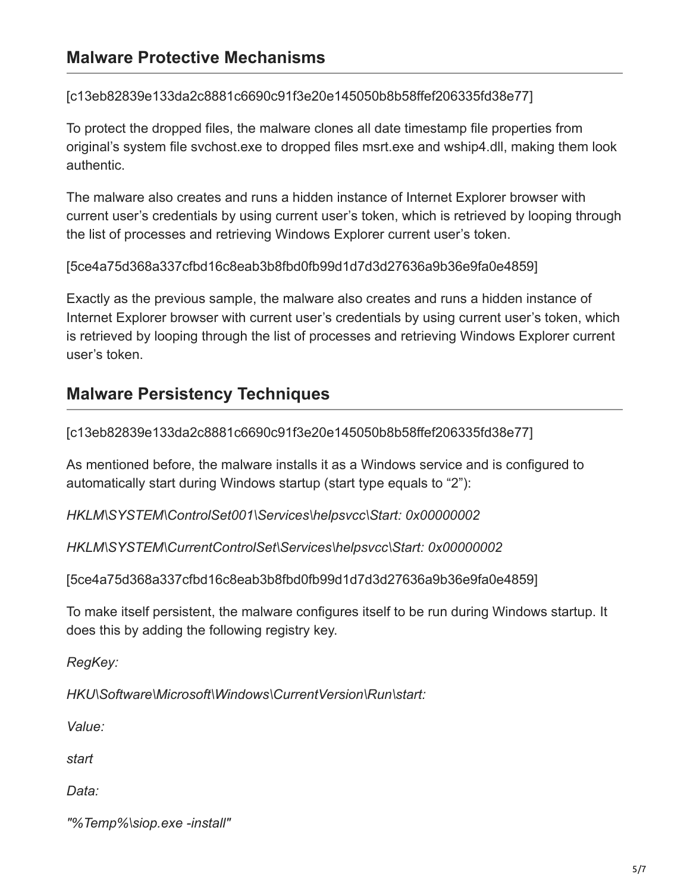[c13eb82839e133da2c8881c6690c91f3e20e145050b8b58ffef206335fd38e77]

To protect the dropped files, the malware clones all date timestamp file properties from original's system file svchost.exe to dropped files msrt.exe and wship4.dll, making them look authentic.

The malware also creates and runs a hidden instance of Internet Explorer browser with current user's credentials by using current user's token, which is retrieved by looping through the list of processes and retrieving Windows Explorer current user's token.

[5ce4a75d368a337cfbd16c8eab3b8fbd0fb99d1d7d3d27636a9b36e9fa0e4859]

Exactly as the previous sample, the malware also creates and runs a hidden instance of Internet Explorer browser with current user's credentials by using current user's token, which is retrieved by looping through the list of processes and retrieving Windows Explorer current user's token.

## **Malware Persistency Techniques**

[c13eb82839e133da2c8881c6690c91f3e20e145050b8b58ffef206335fd38e77]

As mentioned before, the malware installs it as a Windows service and is configured to automatically start during Windows startup (start type equals to "2"):

*HKLM\SYSTEM\ControlSet001\Services\helpsvcc\Start: 0x00000002*

*HKLM\SYSTEM\CurrentControlSet\Services\helpsvcc\Start: 0x00000002*

[5ce4a75d368a337cfbd16c8eab3b8fbd0fb99d1d7d3d27636a9b36e9fa0e4859]

To make itself persistent, the malware configures itself to be run during Windows startup. It does this by adding the following registry key.

*RegKey:*

*HKU\Software\Microsoft\Windows\CurrentVersion\Run\start:*

*Value:*

*start*

*Data:*

*"%Temp%\siop.exe -install"*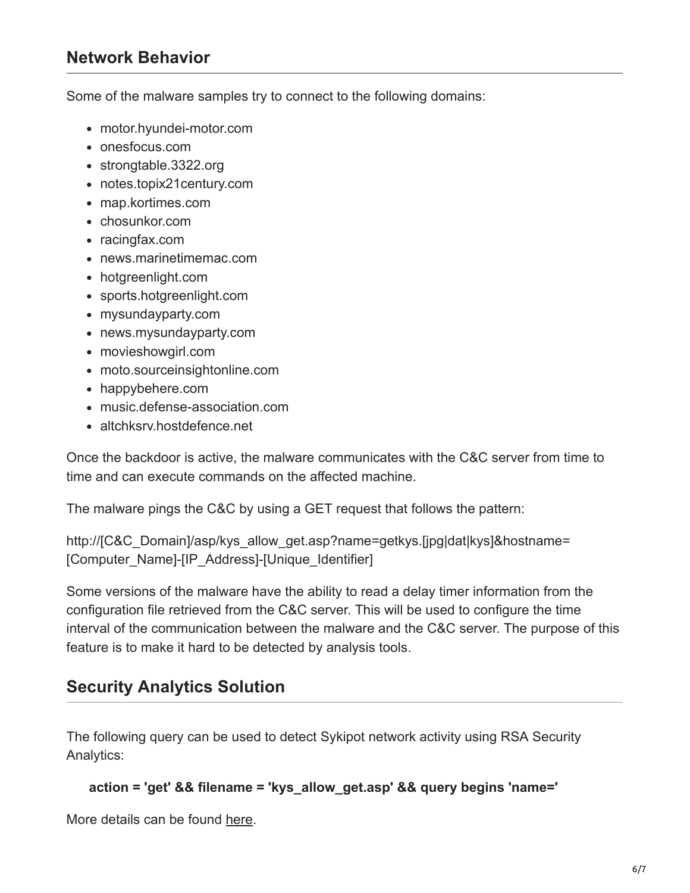#### **Network Behavior**

Some of the malware samples try to connect to the following domains:

- motor.hyundei-motor.com
- onesfocus.com
- strongtable.3322.org
- notes.topix21century.com
- map.kortimes.com
- chosunkor.com
- racingfax.com
- news.marinetimemac.com
- hotgreenlight.com
- sports.hotgreenlight.com
- mysundayparty.com
- news.mysundayparty.com
- movieshowgirl.com
- moto.sourceinsightonline.com
- happybehere.com
- music.defense-association.com
- altchksrv.hostdefence.net

Once the backdoor is active, the malware communicates with the C&C server from time to time and can execute commands on the affected machine.

The malware pings the C&C by using a GET request that follows the pattern:

http://[C&C\_Domain]/asp/kys\_allow\_get.asp?name=getkys.[jpg|dat|kys]&hostname= [Computer\_Name]-[IP\_Address]-[Unique\_Identifier]

Some versions of the malware have the ability to read a delay timer information from the configuration file retrieved from the C&C server. This will be used to configure the time interval of the communication between the malware and the C&C server. The purpose of this feature is to make it hard to be detected by analysis tools.

### **Security Analytics Solution**

The following query can be used to detect Sykipot network activity using RSA Security Analytics:

```
 action = 'get' && filename = 'kys_allow_get.asp' && query begins 'name='
```
More details can be found [here](https://community.rsa.com/thread/185436).